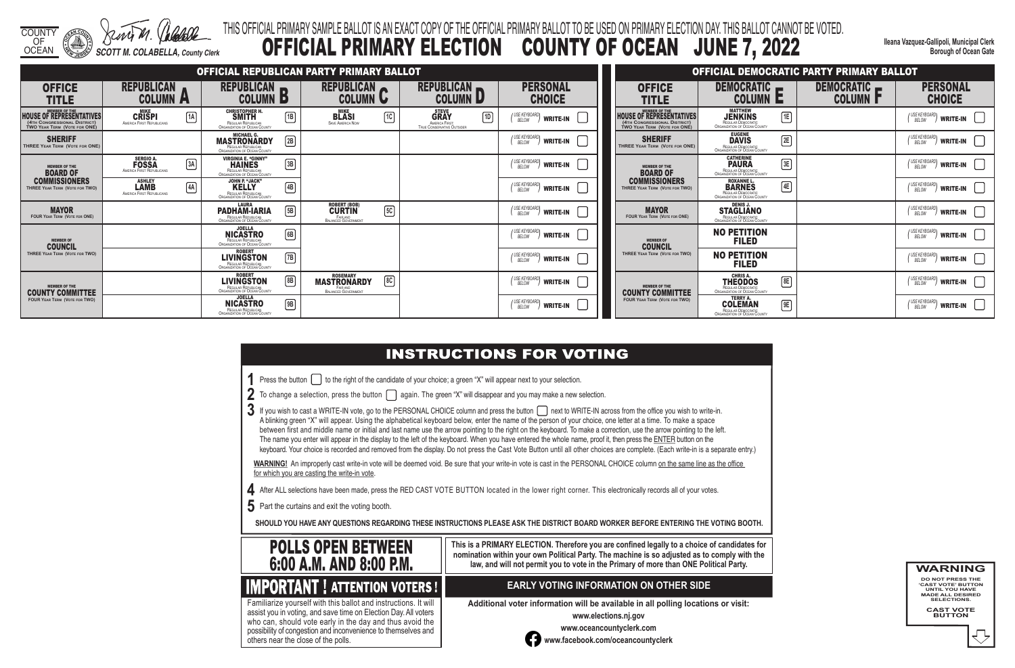COUNTY OF

OCEAN *SCOTT M. COLABELLA, County Clerk*

#### **INSTRUCTIONS FOR VOTING**

**Ileana Vazquez-Gallipoli, Municipal Clerk Borough of Ocean Gate**

#### THIS OFFICIAL PRIMARY SAMPLE BALLOT IS AN EXACT COPY OF THE OFFICIAL PRIMARY BALLOT TO BE USED ON PRIMARY ELECTION DAY. THIS BALLOT CANNOT BE VOTED. OFFICIAL PRIMARY ELECTION COUNTY OF OCEAN JUNE 7, 2022

- **1** Press the button **the right of the candidate of your choice**; a green "X" will appear next to your selection.
- **2** To change a selection, press the button **again.** The green "X" will disappear and you may make a new selection.
- 3 If you wish to cast a WRITE-IN vote, go to the PERSONAL CHOICE column and press the button next to WRITE-IN across from the office you wish to write-in. A blinking green "X" will appear. Using the alphabetical keyboard below, enter the name of the person of your choice, one letter at a time. To make a space between first and middle name or initial and last name use the arrow pointing to the right on the keyboard. To make a correction, use the arrow pointing to the left. The name you enter will appear in the display to the left of the keyboard. When you have entered the whole name, proof it, then press the ENTER button on the keyboard. Your choice is recorded and removed from the display. Do not press the Cast Vote Button until all other choices are complete. (Each write-in is a separate entry.)

WARNING! An improperly cast write-in vote will be deemed void. Be sure that your write-in vote is cast in the PERSONAL CHOICE column on the same line as the office for which you are casting the write-in vote.

- **4** After ALL selections have been made, press the RED CAST VOTE BUTTON located in the lower right corner. This electronically records all of your votes.
- **5** Part the curtains and exit the voting booth.

**SHOULD YOU HAVE ANY QUESTIONS REGARDING THESE INSTRUCTIONS PLEASE ASK THE DISTRICT BOARD WORKER BEFORE ENTERING THE VOTING BOOTH.**

**This is a PRIMARY ELECTION. Therefore you are confined legally to a choice of candidates for nomination within your own Political Party. The machine is so adjusted as to comply with the law, and will not permit you to vote in the Primary of more than ONE Political Party.**

 assist you in voting, and save time on Election Day. All voters Familiarize yourself with this ballot and instructions. It will who can, should vote early in the day and thus avoid the possibility of congestion and inconvenience to themselves and others near the close of the polls.

#### **EARLY VOTING INFORMATION ON OTHER SIDE**

**Additional voter information will be available in all polling locations or visit:**

**www.elections.nj.gov** 



**www.oceancountyclerk.com <sup>w</sup>ww.facebook.com/oceancountyclerk** **WARNING DO NOT PRESS THE** 

**'CAST VOTE' BUTTON UNTIL YOU HAVE MADE ALL DESIRED SELECTIONS.** 

**CAST VOTE BUTTON**



#### **IMPORTANT ! ATTENTION VOTERS !**

|                                                                                                                         |                                                                     |                                                                                                                  | OFFICIAL REPUBLICAN PARTY PRIMARY BALLOT                                                      |                                                                                            |                                                   |                                                                                                 |
|-------------------------------------------------------------------------------------------------------------------------|---------------------------------------------------------------------|------------------------------------------------------------------------------------------------------------------|-----------------------------------------------------------------------------------------------|--------------------------------------------------------------------------------------------|---------------------------------------------------|-------------------------------------------------------------------------------------------------|
| <b>OFFICE</b><br>TITLE                                                                                                  | <b>REPUBLICAN</b><br><b>COLUMN</b><br>$\overline{\phantom{a}}$      | <b>REPUBLICAN</b><br><b>COLUMN</b><br>P)                                                                         | <b>REPUBLICAN</b><br><b>COLUMN</b><br>$\mathbf{U}$                                            | <b>REPUBLICAN</b><br><b>COLUMN</b>                                                         | <b>PERSONAL</b><br><b>CHOICE</b>                  | <b>OFFICE</b><br><b>TITLE</b>                                                                   |
| <b>MEMBER OF THE</b><br><b>HOUSE OF REPRESENTATIVES</b><br>(4TH CONGRESSIONAL DISTRICT)<br>TWO YEAR TERM (VOTE FOR ONE) | <b>MIKE</b><br>1A<br><b>CRISPI</b><br>AMERICA FIRST REPUBLICANS     | <b>CHRISTOPHER H.</b><br>$\sqrt{18}$<br><b>SMITH</b><br>REGULAR REPUBLICAN<br>ORGANIZATION OF OCEAN COUNTY       | <b>MIKE</b><br>$\lceil \mathfrak{n} \rceil$<br><b>BLASI</b><br><b>SAVE AMERICA NOW</b>        | <b>STEVE</b><br>$\lceil$ 1D<br><b>GRAY</b><br>AMERICA FIRST:<br>TRUE CONSERVATIVE OUTSIDER | (USE KEYBOARD)<br>BELOW<br><b>WRITE-IN</b>        | <b>HOUSE OF REPRESENTATIVES</b><br>(4TH CONGRESSIONAL DISTRICT)<br>TWO YEAR TERM (VOTE FOR ONE) |
| <b>SHERIFF</b><br>THREE YEAR TERM (VOTE FOR ONE)                                                                        |                                                                     | <b>MICHAEL G.</b><br>$\boxed{2B}$<br><b>MASTRONARDY</b><br>REGULAR REPUBLICAN<br>ORGANIZATION OF OCEAN COUNTY    |                                                                                               |                                                                                            | <b>USE KEYBOARD</b><br><b>WRITE-IN</b><br>BELOW   | <b>SHERIFF</b><br><b>THREE YEAR TERM (VOTE FOR ONE)</b>                                         |
| <b>MEMBER OF THE</b><br><b>BOARD OF</b>                                                                                 | <b>SERGIO A.</b><br>3A<br><b>FOSSA</b><br>AMERICA FIRST REPUBLICANS | <b>VIRGINIA E. "GINNY"</b><br>$\sqrt{3B}$<br><b>HAINES</b><br>REGULAR REPUBLICAN<br>ORGANIZATION OF OCEAN COUNTY |                                                                                               |                                                                                            | <b>USE KEYBOARD</b><br><b>WRITE-IN</b><br>BELOW   | <b>MEMBER OF THE</b><br><b>BOARD OF</b>                                                         |
| <b>COMMISSIONERS</b><br>THREE YEAR TERM (VOTE FOR TWO)                                                                  | <b>ASHLEY</b><br>4A<br><b>LAMB</b><br>AMERICA FIRST REPUBLICANS     | <b>JOHN P. "JACK"</b><br>$\boxed{4B}$<br><b>KELLY</b><br>REGULAR REPUBLICAN<br>ORGANIZATION OF OCEAN COUNTY      |                                                                                               |                                                                                            | USE KEYBOARD<br><b>WRITE-IN</b><br>BELOW          | <b>COMMISSIONERS</b><br>THREE YEAR TERM (VOTE FOR TWO)                                          |
| <b>MAYOR</b><br><b>FOUR YEAR TERM (VOTE FOR ONE)</b>                                                                    |                                                                     | <b>LAURA</b><br>5B<br>PADHAM-IARIA<br><b>REGULAR REPUBLICAN</b><br><b>ORGANIZATION OF OCEAN COUNTY</b>           | <b>ROBERT (BOB)</b><br>$\sqrt{5C}$<br><b>CURTIN</b><br>FAIR AND<br><b>BALANCED GOVERNMENT</b> |                                                                                            | USE KEYBOARD<br><b>WRITE-IN</b><br>BELOW          | <b>MAYOR</b><br><b>FOUR YEAR TERM (VOTE FOR ONE)</b>                                            |
| <b>MEMBER OF</b><br><b>COUNCIL</b>                                                                                      |                                                                     | <b>JOELLA</b><br>$\boxed{6B}$<br><b>NICASTRO</b><br>REGULAR REPUBLICAN<br>ORGANIZATION OF OCEAN COUNTY           |                                                                                               |                                                                                            | ' USE KEYBOARL<br><b>WRITE-IN</b><br>BELOW        | <b>MEMBER OF</b><br><b>COUNCIL</b>                                                              |
| THREE YEAR TERM (VOTE FOR TWO)                                                                                          |                                                                     | <b>ROBERT</b><br>$\boxed{7}$ B<br><b>LIVINGSTON</b><br>REGULAR REPUBLICAN<br><b>ORGANIZATION OF OCEAN COUNTY</b> |                                                                                               |                                                                                            | ' USE KEYBOARD<br><b>WRITE-IN</b><br><b>BELOW</b> | THREE YEAR TERM (VOTE FOR TWO)                                                                  |
| <b>MEMBER OF THE</b><br><b>COUNTY COMMITTEE</b>                                                                         |                                                                     | <b>ROBERT</b><br>8B<br><b>LIVINGSTON</b><br>REGULAR REPUBLICAN<br>ORGANIZATION OF OCEAN COUNTY                   | <b>ROSEMARY</b><br>$\boxed{8C}$<br><b>MASTRONARDY</b><br>FAIR AND<br>BALANCED GOVERNMENT      |                                                                                            | USE KEYBOARD<br>BELOW<br><b>WRITE-IN</b>          | <b>MEMBER OF THE</b><br><b>COUNTY COMMITTEE</b>                                                 |
| <b>FOUR YEAR TERM (VOTE FOR TWO)</b>                                                                                    |                                                                     | <b>JOELLA</b><br>$\boxed{9}$<br><b>NICASTRO</b><br>REGULAR REPUBLICAN<br>ORGANIZATION OF OCEAN COUNTY            |                                                                                               |                                                                                            | ' USE KEYBOARD<br><b>WRITE-IN</b><br>BELOW        | <b>FOUR YEAR TERM (VOTE FOR TWO)</b>                                                            |

|                                                                                                 |                                                                                                 |    | OFFICIAL DEMOCRATIC PARTY PRIMARY BALLOT |                                                            |
|-------------------------------------------------------------------------------------------------|-------------------------------------------------------------------------------------------------|----|------------------------------------------|------------------------------------------------------------|
| OFFICE<br>TITLE                                                                                 | <b>DEMOCRATIC</b><br>COLUMN                                                                     |    | <b>DEMOCRATIC</b><br><b>COLUMN F</b>     | <b>PERSONAL</b><br><b>CHOICE</b>                           |
| <b>MEMBER OF THE</b><br>OF REPRESENTATIVES<br>ONGRESSIONAL DISTRICT)<br>EAR TERM (VOTE FOR ONE) | <b>MATTHEW</b><br><b>JENKINS</b><br>REGULAR DEMOCRATIC<br>ORGANIZATION OF OCEAN COUNTY          | 1E |                                          | ' USE KEYBOARD <b>\</b><br><b>WRITE-IN</b><br>BELOW        |
| <b>SHERIFF</b><br><b>EAR TERM (VOTE FOR ONE)</b>                                                | <b>EUGENE</b><br><b>DAVIS</b><br>REGULAR DEMOCRATIC<br>ORGANIZATION OF OCEAN COUNTY             | 2E |                                          | I USE KEYBOARD)<br><b>WRITE-IN</b><br>BELOW                |
| <b>MEMBER OF THE</b><br><b>BOARD OF</b>                                                         | <b>CATHERINE</b><br><b>PAURA</b><br>REGULAR DEMOCRATIC<br>ORGANIZATION OF OCEAN COUNTY          | 3E |                                          | ' USE KEYBOARD)<br><b>WRITE-IN</b><br><b>BELOW</b>         |
| MMISSIONERS<br>YEAR TERM (VOTE FOR TWO)                                                         | <b>ROXANNE L.</b><br><b>BARNES</b><br>REGULAR DEMOCRATIC<br><b>ORGANIZATION OF OCEAN COUNTY</b> | 4E |                                          | USE KEYBOARDI<br><b>WRITE-IN</b><br><b>BELOW</b>           |
| <b>MAYOR</b><br>YEAR TERM (VOTE FOR ONE)                                                        | <b>DENIS J.</b><br><b>STAGLIANO</b><br>REGULAR DEMOCRATIC<br>ORGANIZATION OF OCEAN COUNTY       |    |                                          | ' USE KEYBOARD <b>\</b><br><b>WRITE-IN</b><br><b>BELOW</b> |
| <b>MEMBER OF</b><br><b>COUNCIL</b>                                                              | <b>NO PETITION</b><br><b>FILED</b>                                                              |    |                                          | ' USE KEYBOARD)<br><b>WRITE-IN</b><br><b>BELOW</b>         |
| YEAR TERM (VOTE FOR TWO)                                                                        | <b>NO PETITION</b><br><b>FILED</b>                                                              |    |                                          | ' USE KEYBOARD <b>\</b><br><b>WRITE-IN</b><br>BELOW        |
| <b>MEMBER OF THE</b><br><b>JTY COMMI</b><br>1133                                                | <b>CHRIS A.</b><br>THEODOS<br>REGULAR DEMOCRATIC<br>ORGANIZATION OF OCEAN COUNTY                | 8E |                                          | USE KEYBOARDI<br><b>WRITE-IN</b><br><b>BELOW</b>           |
| <b>FEAR TERM (VOTE FOR TWO)</b>                                                                 | <b>TERRY A.</b><br>COLEMAN<br>REGULAR DEMOCRATIC<br><b>ORGANIZATION OF OCEAN COUNTY</b>         | 9E |                                          | ' USE KEYBOARD)<br><b>WRITE-IN</b><br>BELOW                |